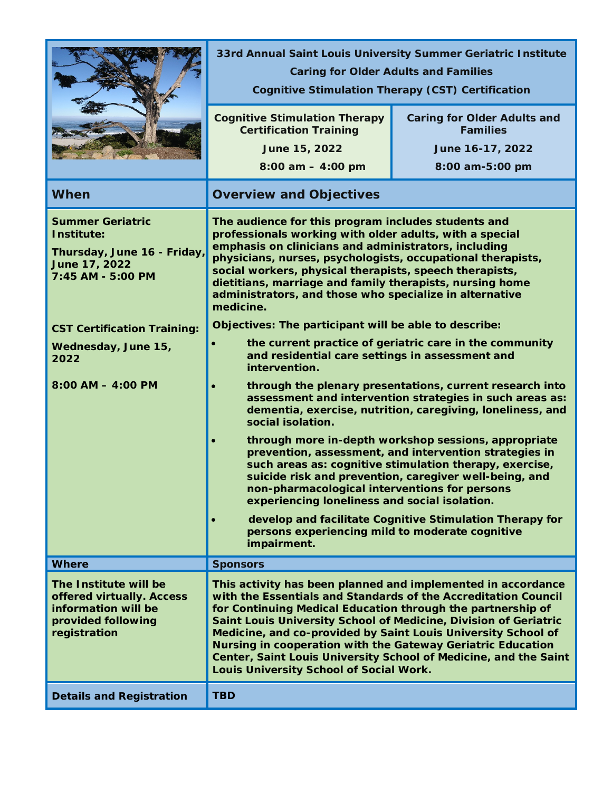|                                                                                                                                                                                                          | 33rd Annual Saint Louis University Summer Geriatric Institute<br><b>Caring for Older Adults and Families</b><br><b>Cognitive Stimulation Therapy (CST) Certification</b>                                                                                                                                                                                                                                                                                                                                                                                                                                                                                                                                                                                                                                                                                                                                                                                                                                                                                                                                                                                                                                                                                                                                       |                                                                                              |
|----------------------------------------------------------------------------------------------------------------------------------------------------------------------------------------------------------|----------------------------------------------------------------------------------------------------------------------------------------------------------------------------------------------------------------------------------------------------------------------------------------------------------------------------------------------------------------------------------------------------------------------------------------------------------------------------------------------------------------------------------------------------------------------------------------------------------------------------------------------------------------------------------------------------------------------------------------------------------------------------------------------------------------------------------------------------------------------------------------------------------------------------------------------------------------------------------------------------------------------------------------------------------------------------------------------------------------------------------------------------------------------------------------------------------------------------------------------------------------------------------------------------------------|----------------------------------------------------------------------------------------------|
|                                                                                                                                                                                                          | <b>Cognitive Stimulation Therapy</b><br><b>Certification Training</b><br>June 15, 2022<br>$8:00$ am $-4:00$ pm                                                                                                                                                                                                                                                                                                                                                                                                                                                                                                                                                                                                                                                                                                                                                                                                                                                                                                                                                                                                                                                                                                                                                                                                 | <b>Caring for Older Adults and</b><br><b>Families</b><br>June 16-17, 2022<br>8:00 am-5:00 pm |
| <b>When</b>                                                                                                                                                                                              | <b>Overview and Objectives</b>                                                                                                                                                                                                                                                                                                                                                                                                                                                                                                                                                                                                                                                                                                                                                                                                                                                                                                                                                                                                                                                                                                                                                                                                                                                                                 |                                                                                              |
| <b>Summer Geriatric</b><br>Institute:<br>Thursday, June 16 - Friday,<br>June 17, 2022<br>7:45 AM - 5:00 PM<br><b>CST Certification Training:</b><br>Wednesday, June 15,<br>2022<br>$8:00$ AM $-$ 4:00 PM | The audience for this program includes students and<br>professionals working with older adults, with a special<br>emphasis on clinicians and administrators, including<br>physicians, nurses, psychologists, occupational therapists,<br>social workers, physical therapists, speech therapists,<br>dietitians, marriage and family therapists, nursing home<br>administrators, and those who specialize in alternative<br>medicine.<br>Objectives: The participant will be able to describe:<br>the current practice of geriatric care in the community<br>and residential care settings in assessment and<br>intervention.<br>through the plenary presentations, current research into<br>assessment and intervention strategies in such areas as:<br>dementia, exercise, nutrition, caregiving, loneliness, and<br>social isolation.<br>through more in-depth workshop sessions, appropriate<br>prevention, assessment, and intervention strategies in<br>such areas as: cognitive stimulation therapy, exercise,<br>suicide risk and prevention, caregiver well-being, and<br>non-pharmacological interventions for persons<br>experiencing loneliness and social isolation.<br>develop and facilitate Cognitive Stimulation Therapy for<br>persons experiencing mild to moderate cognitive<br>impairment. |                                                                                              |
| <b>Where</b>                                                                                                                                                                                             | <b>Sponsors</b>                                                                                                                                                                                                                                                                                                                                                                                                                                                                                                                                                                                                                                                                                                                                                                                                                                                                                                                                                                                                                                                                                                                                                                                                                                                                                                |                                                                                              |
| The Institute will be<br>offered virtually. Access<br>information will be<br>provided following<br>registration                                                                                          | This activity has been planned and implemented in accordance<br>with the Essentials and Standards of the Accreditation Council<br>for Continuing Medical Education through the partnership of<br>Saint Louis University School of Medicine, Division of Geriatric<br>Medicine, and co-provided by Saint Louis University School of<br>Nursing in cooperation with the Gateway Geriatric Education<br>Louis University School of Social Work.                                                                                                                                                                                                                                                                                                                                                                                                                                                                                                                                                                                                                                                                                                                                                                                                                                                                   | Center, Saint Louis University School of Medicine, and the Saint                             |
| <b>Details and Registration</b>                                                                                                                                                                          | <b>TBD</b>                                                                                                                                                                                                                                                                                                                                                                                                                                                                                                                                                                                                                                                                                                                                                                                                                                                                                                                                                                                                                                                                                                                                                                                                                                                                                                     |                                                                                              |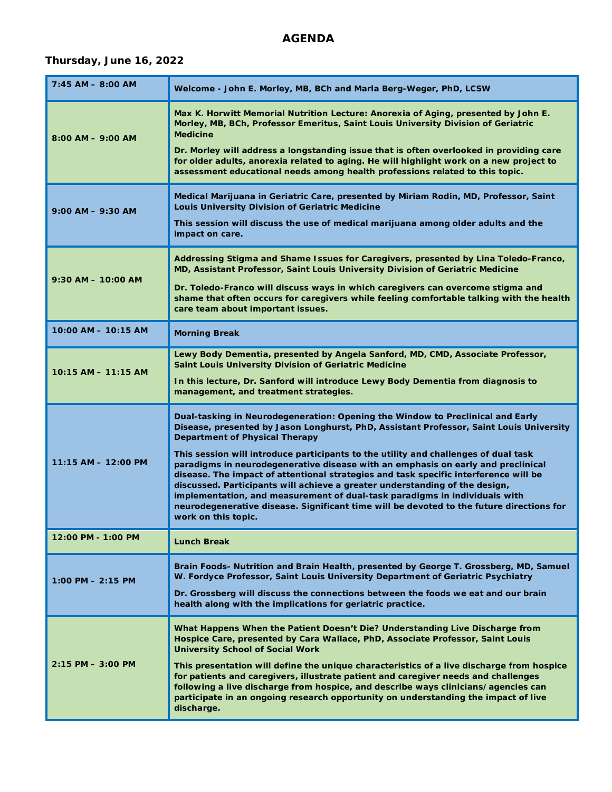### **AGENDA**

### **Thursday, June 16, 2022**

| $7:45$ AM $-$ 8:00 AM   | Welcome - John E. Morley, MB, BCh and Marla Berg-Weger, PhD, LCSW                                                                                                                                                                                                                                                                                                                                                                                                                                                                               |
|-------------------------|-------------------------------------------------------------------------------------------------------------------------------------------------------------------------------------------------------------------------------------------------------------------------------------------------------------------------------------------------------------------------------------------------------------------------------------------------------------------------------------------------------------------------------------------------|
| $8:00$ AM $-$ 9:00 AM   | Max K. Horwitt Memorial Nutrition Lecture: Anorexia of Aging, presented by John E.<br>Morley, MB, BCh, Professor Emeritus, Saint Louis University Division of Geriatric<br><b>Medicine</b>                                                                                                                                                                                                                                                                                                                                                      |
|                         | Dr. Morley will address a longstanding issue that is often overlooked in providing care<br>for older adults, anorexia related to aging. He will highlight work on a new project to<br>assessment educational needs among health professions related to this topic.                                                                                                                                                                                                                                                                              |
| $9:00$ AM $-$ 9:30 AM   | Medical Marijuana in Geriatric Care, presented by Miriam Rodin, MD, Professor, Saint<br>Louis University Division of Geriatric Medicine                                                                                                                                                                                                                                                                                                                                                                                                         |
|                         | This session will discuss the use of medical marijuana among older adults and the<br>impact on care.                                                                                                                                                                                                                                                                                                                                                                                                                                            |
| $9:30$ AM $-$ 10:00 AM  | Addressing Stigma and Shame Issues for Caregivers, presented by Lina Toledo-Franco,<br>MD, Assistant Professor, Saint Louis University Division of Geriatric Medicine                                                                                                                                                                                                                                                                                                                                                                           |
|                         | Dr. Toledo-Franco will discuss ways in which caregivers can overcome stigma and<br>shame that often occurs for caregivers while feeling comfortable talking with the health<br>care team about important issues.                                                                                                                                                                                                                                                                                                                                |
| $10:00$ AM $- 10:15$ AM | <b>Morning Break</b>                                                                                                                                                                                                                                                                                                                                                                                                                                                                                                                            |
| $10:15$ AM $- 11:15$ AM | Lewy Body Dementia, presented by Angela Sanford, MD, CMD, Associate Professor,<br>Saint Louis University Division of Geriatric Medicine                                                                                                                                                                                                                                                                                                                                                                                                         |
|                         | In this lecture, Dr. Sanford will introduce Lewy Body Dementia from diagnosis to<br>management, and treatment strategies.                                                                                                                                                                                                                                                                                                                                                                                                                       |
| 11:15 AM - 12:00 PM     | Dual-tasking in Neurodegeneration: Opening the Window to Preclinical and Early<br>Disease, presented by Jason Longhurst, PhD, Assistant Professor, Saint Louis University<br><b>Department of Physical Therapy</b>                                                                                                                                                                                                                                                                                                                              |
|                         | This session will introduce participants to the utility and challenges of dual task<br>paradigms in neurodegenerative disease with an emphasis on early and preclinical<br>disease. The impact of attentional strategies and task specific interference will be<br>discussed. Participants will achieve a greater understanding of the design,<br>implementation, and measurement of dual-task paradigms in individuals with<br>neurodegenerative disease. Significant time will be devoted to the future directions for<br>work on this topic. |
| 12:00 PM - 1:00 PM      |                                                                                                                                                                                                                                                                                                                                                                                                                                                                                                                                                 |
|                         | <b>Lunch Break</b>                                                                                                                                                                                                                                                                                                                                                                                                                                                                                                                              |
| $1:00$ PM $- 2:15$ PM   | Brain Foods- Nutrition and Brain Health, presented by George T. Grossberg, MD, Samuel<br>W. Fordyce Professor, Saint Louis University Department of Geriatric Psychiatry                                                                                                                                                                                                                                                                                                                                                                        |
|                         | Dr. Grossberg will discuss the connections between the foods we eat and our brain<br>health along with the implications for geriatric practice.                                                                                                                                                                                                                                                                                                                                                                                                 |
|                         | What Happens When the Patient Doesn't Die? Understanding Live Discharge from<br>Hospice Care, presented by Cara Wallace, PhD, Associate Professor, Saint Louis<br><b>University School of Social Work</b>                                                                                                                                                                                                                                                                                                                                       |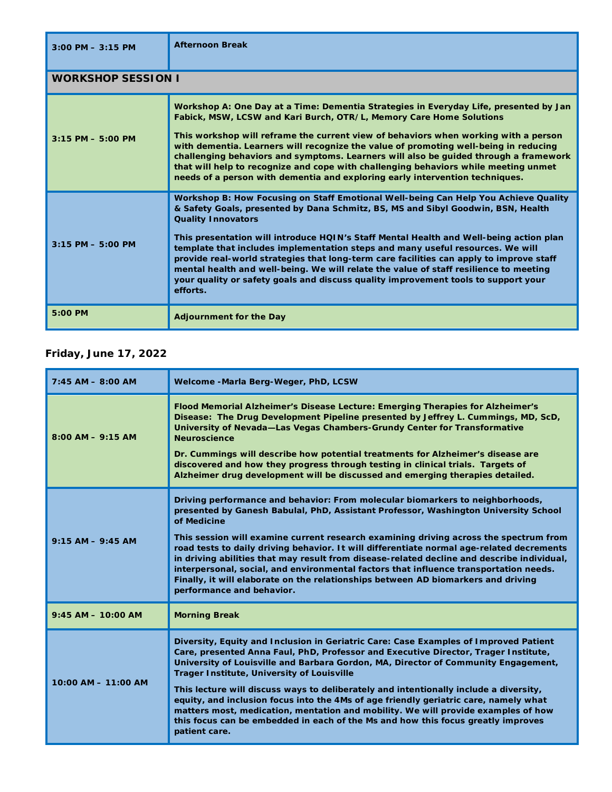| $3:00$ PM $-3:15$ PM      | <b>Afternoon Break</b>                                                                                                                                                                                                                                                                                                                                                                                                                                                                                                                                                                                                                                                 |
|---------------------------|------------------------------------------------------------------------------------------------------------------------------------------------------------------------------------------------------------------------------------------------------------------------------------------------------------------------------------------------------------------------------------------------------------------------------------------------------------------------------------------------------------------------------------------------------------------------------------------------------------------------------------------------------------------------|
| <b>WORKSHOP SESSION I</b> |                                                                                                                                                                                                                                                                                                                                                                                                                                                                                                                                                                                                                                                                        |
| $3:15$ PM $- 5:00$ PM     | Workshop A: One Day at a Time: Dementia Strategies in Everyday Life, presented by Jan<br>Fabick, MSW, LCSW and Kari Burch, OTR/L, Memory Care Home Solutions<br>This workshop will reframe the current view of behaviors when working with a person<br>with dementia. Learners will recognize the value of promoting well-being in reducing<br>challenging behaviors and symptoms. Learners will also be guided through a framework<br>that will help to recognize and cope with challenging behaviors while meeting unmet<br>needs of a person with dementia and exploring early intervention techniques.                                                             |
| $3:15$ PM $- 5:00$ PM     | Workshop B: How Focusing on Staff Emotional Well-being Can Help You Achieve Quality<br>& Safety Goals, presented by Dana Schmitz, BS, MS and Sibyl Goodwin, BSN, Health<br><b>Quality Innovators</b><br>This presentation will introduce HQIN's Staff Mental Health and Well-being action plan<br>template that includes implementation steps and many useful resources. We will<br>provide real-world strategies that long-term care facilities can apply to improve staff<br>mental health and well-being. We will relate the value of staff resilience to meeting<br>your quality or safety goals and discuss quality improvement tools to support your<br>efforts. |
| 5:00 PM                   | <b>Adjournment for the Day</b>                                                                                                                                                                                                                                                                                                                                                                                                                                                                                                                                                                                                                                         |

## **Friday, June 17, 2022**

| $7:45$ AM $-$ 8:00 AM   | Welcome -Marla Berg-Weger, PhD, LCSW                                                                                                                                                                                                                                                                                                                                                                                                                                                                                                                                                                                                                                                              |
|-------------------------|---------------------------------------------------------------------------------------------------------------------------------------------------------------------------------------------------------------------------------------------------------------------------------------------------------------------------------------------------------------------------------------------------------------------------------------------------------------------------------------------------------------------------------------------------------------------------------------------------------------------------------------------------------------------------------------------------|
| $8:00$ AM $-$ 9:15 AM   | Flood Memorial Alzheimer's Disease Lecture: Emerging Therapies for Alzheimer's<br>Disease: The Drug Development Pipeline presented by Jeffrey L. Cummings, MD, ScD,<br>University of Nevada-Las Vegas Chambers-Grundy Center for Transformative<br><b>Neuroscience</b><br>Dr. Cummings will describe how potential treatments for Alzheimer's disease are<br>discovered and how they progress through testing in clinical trials. Targets of<br>Alzheimer drug development will be discussed and emerging therapies detailed.                                                                                                                                                                     |
| $9:15 AM - 9:45 AM$     | Driving performance and behavior: From molecular biomarkers to neighborhoods,<br>presented by Ganesh Babulal, PhD, Assistant Professor, Washington University School<br>of Medicine<br>This session will examine current research examining driving across the spectrum from<br>road tests to daily driving behavior. It will differentiate normal age-related decrements<br>in driving abilities that may result from disease-related decline and describe individual,<br>interpersonal, social, and environmental factors that influence transportation needs.<br>Finally, it will elaborate on the relationships between AD biomarkers and driving<br>performance and behavior.                |
| $9:45$ AM $-$ 10:00 AM  | <b>Morning Break</b>                                                                                                                                                                                                                                                                                                                                                                                                                                                                                                                                                                                                                                                                              |
| $10:00$ AM $- 11:00$ AM | Diversity, Equity and Inclusion in Geriatric Care: Case Examples of Improved Patient<br>Care, presented Anna Faul, PhD, Professor and Executive Director, Trager Institute,<br>University of Louisville and Barbara Gordon, MA, Director of Community Engagement,<br><b>Trager Institute, University of Louisville</b><br>This lecture will discuss ways to deliberately and intentionally include a diversity,<br>equity, and inclusion focus into the 4Ms of age friendly geriatric care, namely what<br>matters most, medication, mentation and mobility. We will provide examples of how<br>this focus can be embedded in each of the Ms and how this focus greatly improves<br>patient care. |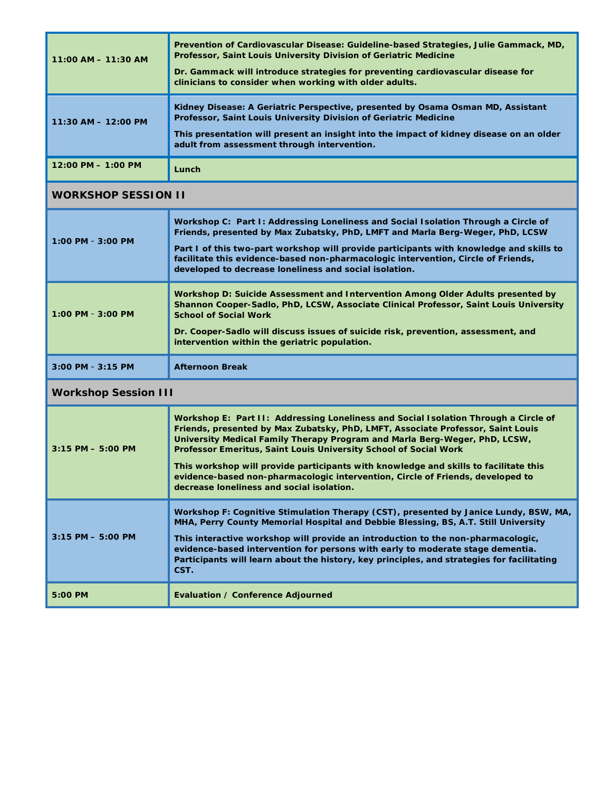| $11:00$ AM $- 11:30$ AM              | Prevention of Cardiovascular Disease: Guideline-based Strategies, Julie Gammack, MD,<br>Professor, Saint Louis University Division of Geriatric Medicine<br>Dr. Gammack will introduce strategies for preventing cardiovascular disease for<br>clinicians to consider when working with older adults. |
|--------------------------------------|-------------------------------------------------------------------------------------------------------------------------------------------------------------------------------------------------------------------------------------------------------------------------------------------------------|
| $11:30$ AM $- 12:00$ PM              | Kidney Disease: A Geriatric Perspective, presented by Osama Osman MD, Assistant<br>Professor, Saint Louis University Division of Geriatric Medicine<br>This presentation will present an insight into the impact of kidney disease on an older<br>adult from assessment through intervention.         |
| $12:00 \text{ PM} - 1:00 \text{ PM}$ | Lunch                                                                                                                                                                                                                                                                                                 |

# **WORKSHOP SESSION II**

| $1:00$ PM - $3:00$ PM | Workshop C: Part I: Addressing Loneliness and Social Isolation Through a Circle of<br>Friends, presented by Max Zubatsky, PhD, LMFT and Marla Berg-Weger, PhD, LCSW<br>Part I of this two-part workshop will provide participants with knowledge and skills to<br>facilitate this evidence-based non-pharmacologic intervention, Circle of Friends,<br>developed to decrease loneliness and social isolation. |
|-----------------------|---------------------------------------------------------------------------------------------------------------------------------------------------------------------------------------------------------------------------------------------------------------------------------------------------------------------------------------------------------------------------------------------------------------|
| $1:00$ PM - $3:00$ PM | Workshop D: Suicide Assessment and Intervention Among Older Adults presented by<br>Shannon Cooper-Sadlo, PhD, LCSW, Associate Clinical Professor, Saint Louis University<br><b>School of Social Work</b><br>Dr. Cooper-Sadlo will discuss issues of suicide risk, prevention, assessment, and<br>intervention within the geriatric population.                                                                |
| $3:00$ PM - $3:15$ PM | <b>Afternoon Break</b>                                                                                                                                                                                                                                                                                                                                                                                        |

# **Workshop Session III**

| $3:15$ PM $- 5:00$ PM | Workshop E: Part II: Addressing Loneliness and Social Isolation Through a Circle of<br>Friends, presented by Max Zubatsky, PhD, LMFT, Associate Professor, Saint Louis<br>University Medical Family Therapy Program and Marla Berg-Weger, PhD, LCSW,<br><b>Professor Emeritus, Saint Louis University School of Social Work</b><br>This workshop will provide participants with knowledge and skills to facilitate this<br>evidence-based non-pharmacologic intervention, Circle of Friends, developed to<br>decrease loneliness and social isolation. |
|-----------------------|--------------------------------------------------------------------------------------------------------------------------------------------------------------------------------------------------------------------------------------------------------------------------------------------------------------------------------------------------------------------------------------------------------------------------------------------------------------------------------------------------------------------------------------------------------|
| $3:15$ PM $- 5:00$ PM | Workshop F: Cognitive Stimulation Therapy (CST), presented by Janice Lundy, BSW, MA,<br>MHA, Perry County Memorial Hospital and Debbie Blessing, BS, A.T. Still University<br>This interactive workshop will provide an introduction to the non-pharmacologic,<br>evidence-based intervention for persons with early to moderate stage dementia.<br>Participants will learn about the history, key principles, and strategies for facilitating<br>CST.                                                                                                 |
| $5:00$ PM             | Evaluation / Conference Adjourned                                                                                                                                                                                                                                                                                                                                                                                                                                                                                                                      |